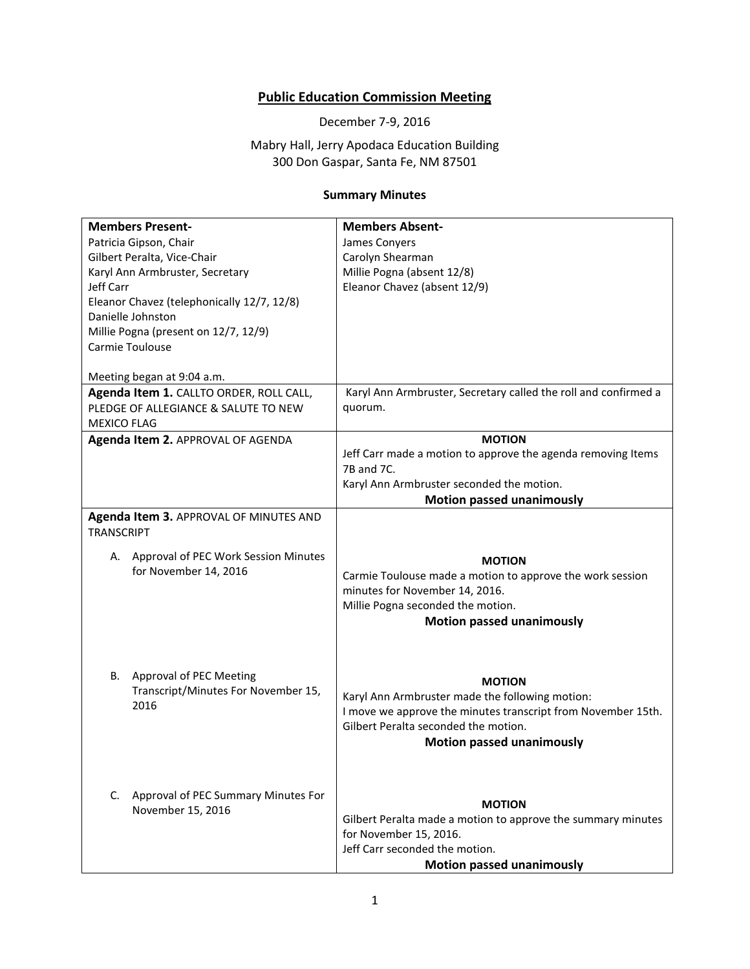## **Public Education Commission Meeting**

December 7-9, 2016

Mabry Hall, Jerry Apodaca Education Building 300 Don Gaspar, Santa Fe, NM 87501

## **Summary Minutes**

| <b>Members Present-</b><br>Patricia Gipson, Chair<br>Gilbert Peralta, Vice-Chair<br>Karyl Ann Armbruster, Secretary<br>Jeff Carr<br>Eleanor Chavez (telephonically 12/7, 12/8)<br>Danielle Johnston<br>Millie Pogna (present on 12/7, 12/9) | <b>Members Absent-</b><br>James Conyers<br>Carolyn Shearman<br>Millie Pogna (absent 12/8)<br>Eleanor Chavez (absent 12/9)                                                                                    |
|---------------------------------------------------------------------------------------------------------------------------------------------------------------------------------------------------------------------------------------------|--------------------------------------------------------------------------------------------------------------------------------------------------------------------------------------------------------------|
| Carmie Toulouse                                                                                                                                                                                                                             |                                                                                                                                                                                                              |
| Meeting began at 9:04 a.m.<br>Agenda Item 1. CALLTO ORDER, ROLL CALL,<br>PLEDGE OF ALLEGIANCE & SALUTE TO NEW<br><b>MEXICO FLAG</b>                                                                                                         | Karyl Ann Armbruster, Secretary called the roll and confirmed a<br>quorum.                                                                                                                                   |
| Agenda Item 2. APPROVAL OF AGENDA                                                                                                                                                                                                           | <b>MOTION</b><br>Jeff Carr made a motion to approve the agenda removing Items<br>7B and 7C.<br>Karyl Ann Armbruster seconded the motion.<br><b>Motion passed unanimously</b>                                 |
| Agenda Item 3. APPROVAL OF MINUTES AND<br><b>TRANSCRIPT</b>                                                                                                                                                                                 |                                                                                                                                                                                                              |
| Approval of PEC Work Session Minutes<br>А.<br>for November 14, 2016                                                                                                                                                                         | <b>MOTION</b><br>Carmie Toulouse made a motion to approve the work session<br>minutes for November 14, 2016.<br>Millie Pogna seconded the motion.<br><b>Motion passed unanimously</b>                        |
| В.<br>Approval of PEC Meeting<br>Transcript/Minutes For November 15,<br>2016                                                                                                                                                                | <b>MOTION</b><br>Karyl Ann Armbruster made the following motion:<br>I move we approve the minutes transcript from November 15th.<br>Gilbert Peralta seconded the motion.<br><b>Motion passed unanimously</b> |
| Approval of PEC Summary Minutes For<br>C.<br>November 15, 2016                                                                                                                                                                              | <b>MOTION</b><br>Gilbert Peralta made a motion to approve the summary minutes<br>for November 15, 2016.<br>Jeff Carr seconded the motion.<br><b>Motion passed unanimously</b>                                |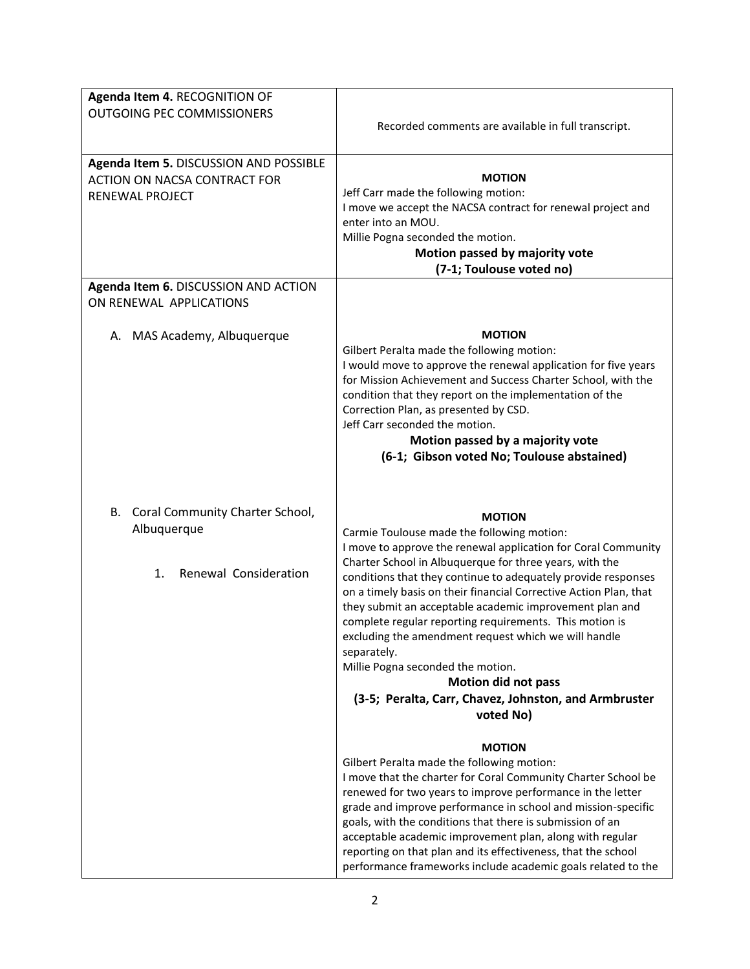| Agenda Item 4. RECOGNITION OF<br>OUTGOING PEC COMMISSIONERS                                      | Recorded comments are available in full transcript.                                                                                                                                                                                                                                                                                                                                                                                                                                                                                                                                                                                                                                  |
|--------------------------------------------------------------------------------------------------|--------------------------------------------------------------------------------------------------------------------------------------------------------------------------------------------------------------------------------------------------------------------------------------------------------------------------------------------------------------------------------------------------------------------------------------------------------------------------------------------------------------------------------------------------------------------------------------------------------------------------------------------------------------------------------------|
| Agenda Item 5. DISCUSSION AND POSSIBLE<br><b>ACTION ON NACSA CONTRACT FOR</b><br>RENEWAL PROJECT | <b>MOTION</b><br>Jeff Carr made the following motion:<br>I move we accept the NACSA contract for renewal project and<br>enter into an MOU.<br>Millie Pogna seconded the motion.<br>Motion passed by majority vote<br>(7-1; Toulouse voted no)                                                                                                                                                                                                                                                                                                                                                                                                                                        |
| Agenda Item 6. DISCUSSION AND ACTION<br>ON RENEWAL APPLICATIONS                                  |                                                                                                                                                                                                                                                                                                                                                                                                                                                                                                                                                                                                                                                                                      |
| A. MAS Academy, Albuquerque                                                                      | <b>MOTION</b><br>Gilbert Peralta made the following motion:<br>I would move to approve the renewal application for five years<br>for Mission Achievement and Success Charter School, with the<br>condition that they report on the implementation of the<br>Correction Plan, as presented by CSD.<br>Jeff Carr seconded the motion.<br>Motion passed by a majority vote<br>(6-1; Gibson voted No; Toulouse abstained)                                                                                                                                                                                                                                                                |
| Coral Community Charter School,<br>В.<br>Albuquerque<br>Renewal Consideration<br>1.              | <b>MOTION</b><br>Carmie Toulouse made the following motion:<br>I move to approve the renewal application for Coral Community<br>Charter School in Albuquerque for three years, with the<br>conditions that they continue to adequately provide responses<br>on a timely basis on their financial Corrective Action Plan, that<br>they submit an acceptable academic improvement plan and<br>complete regular reporting requirements. This motion is<br>excluding the amendment request which we will handle<br>separately.<br>Millie Pogna seconded the motion.<br><b>Motion did not pass</b><br>(3-5; Peralta, Carr, Chavez, Johnston, and Armbruster<br>voted No)<br><b>MOTION</b> |
|                                                                                                  | Gilbert Peralta made the following motion:<br>I move that the charter for Coral Community Charter School be<br>renewed for two years to improve performance in the letter<br>grade and improve performance in school and mission-specific<br>goals, with the conditions that there is submission of an<br>acceptable academic improvement plan, along with regular<br>reporting on that plan and its effectiveness, that the school<br>performance frameworks include academic goals related to the                                                                                                                                                                                  |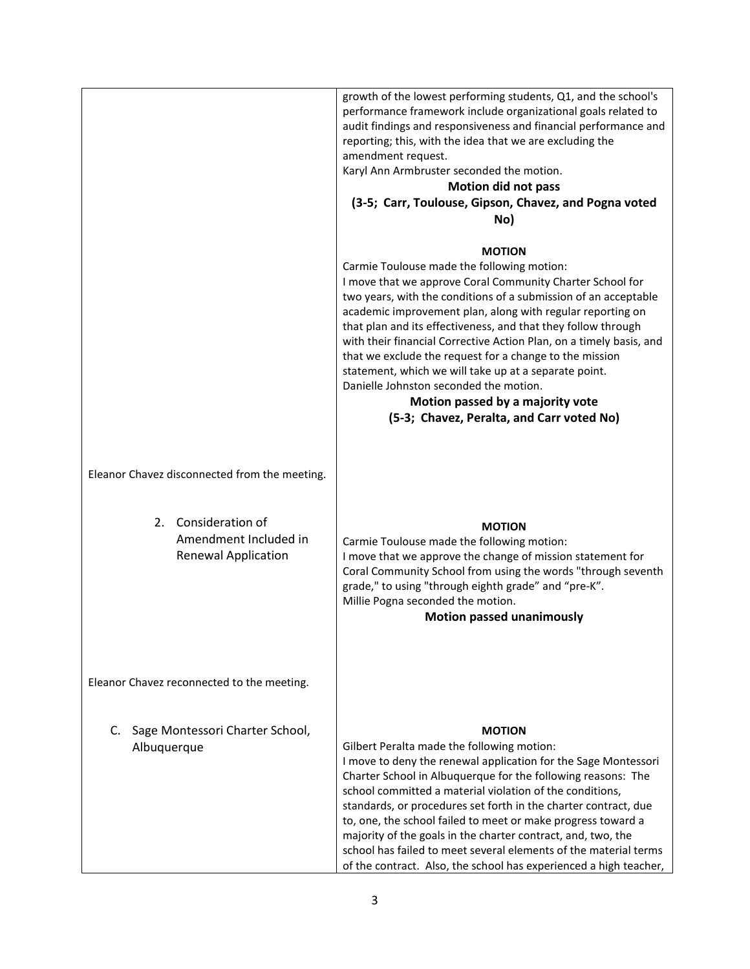|                                                                            | growth of the lowest performing students, Q1, and the school's<br>performance framework include organizational goals related to<br>audit findings and responsiveness and financial performance and<br>reporting; this, with the idea that we are excluding the<br>amendment request.<br>Karyl Ann Armbruster seconded the motion.<br><b>Motion did not pass</b><br>(3-5; Carr, Toulouse, Gipson, Chavez, and Pogna voted<br>No)                                                                                                                                                                                                 |
|----------------------------------------------------------------------------|---------------------------------------------------------------------------------------------------------------------------------------------------------------------------------------------------------------------------------------------------------------------------------------------------------------------------------------------------------------------------------------------------------------------------------------------------------------------------------------------------------------------------------------------------------------------------------------------------------------------------------|
|                                                                            | <b>MOTION</b>                                                                                                                                                                                                                                                                                                                                                                                                                                                                                                                                                                                                                   |
|                                                                            | Carmie Toulouse made the following motion:<br>I move that we approve Coral Community Charter School for<br>two years, with the conditions of a submission of an acceptable<br>academic improvement plan, along with regular reporting on<br>that plan and its effectiveness, and that they follow through<br>with their financial Corrective Action Plan, on a timely basis, and<br>that we exclude the request for a change to the mission<br>statement, which we will take up at a separate point.<br>Danielle Johnston seconded the motion.<br>Motion passed by a majority vote<br>(5-3; Chavez, Peralta, and Carr voted No) |
| Eleanor Chavez disconnected from the meeting.                              |                                                                                                                                                                                                                                                                                                                                                                                                                                                                                                                                                                                                                                 |
| 2. Consideration of<br>Amendment Included in<br><b>Renewal Application</b> | <b>MOTION</b><br>Carmie Toulouse made the following motion:<br>I move that we approve the change of mission statement for<br>Coral Community School from using the words "through seventh<br>grade," to using "through eighth grade" and "pre-K".<br>Millie Pogna seconded the motion.<br><b>Motion passed unanimously</b>                                                                                                                                                                                                                                                                                                      |
| Eleanor Chavez reconnected to the meeting.                                 |                                                                                                                                                                                                                                                                                                                                                                                                                                                                                                                                                                                                                                 |
| Sage Montessori Charter School,<br>C.<br>Albuquerque                       | <b>MOTION</b><br>Gilbert Peralta made the following motion:<br>I move to deny the renewal application for the Sage Montessori<br>Charter School in Albuquerque for the following reasons: The<br>school committed a material violation of the conditions,<br>standards, or procedures set forth in the charter contract, due<br>to, one, the school failed to meet or make progress toward a<br>majority of the goals in the charter contract, and, two, the<br>school has failed to meet several elements of the material terms<br>of the contract. Also, the school has experienced a high teacher,                           |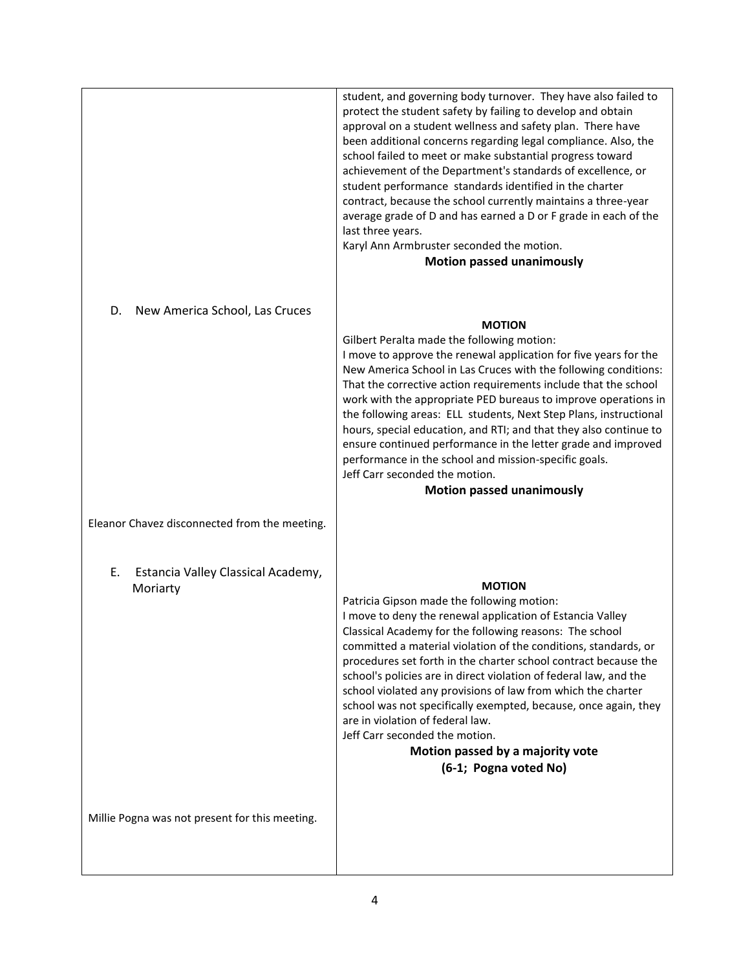|                                                      | student, and governing body turnover. They have also failed to<br>protect the student safety by failing to develop and obtain<br>approval on a student wellness and safety plan. There have<br>been additional concerns regarding legal compliance. Also, the<br>school failed to meet or make substantial progress toward<br>achievement of the Department's standards of excellence, or<br>student performance standards identified in the charter<br>contract, because the school currently maintains a three-year<br>average grade of D and has earned a D or F grade in each of the<br>last three years.<br>Karyl Ann Armbruster seconded the motion.<br><b>Motion passed unanimously</b> |
|------------------------------------------------------|------------------------------------------------------------------------------------------------------------------------------------------------------------------------------------------------------------------------------------------------------------------------------------------------------------------------------------------------------------------------------------------------------------------------------------------------------------------------------------------------------------------------------------------------------------------------------------------------------------------------------------------------------------------------------------------------|
| New America School, Las Cruces<br>D.                 | <b>MOTION</b><br>Gilbert Peralta made the following motion:<br>I move to approve the renewal application for five years for the<br>New America School in Las Cruces with the following conditions:<br>That the corrective action requirements include that the school<br>work with the appropriate PED bureaus to improve operations in<br>the following areas: ELL students, Next Step Plans, instructional<br>hours, special education, and RTI; and that they also continue to<br>ensure continued performance in the letter grade and improved<br>performance in the school and mission-specific goals.<br>Jeff Carr seconded the motion.<br><b>Motion passed unanimously</b>              |
| Eleanor Chavez disconnected from the meeting.        |                                                                                                                                                                                                                                                                                                                                                                                                                                                                                                                                                                                                                                                                                                |
| Estancia Valley Classical Academy,<br>Е.<br>Moriarty | <b>MOTION</b><br>Patricia Gipson made the following motion:<br>I move to deny the renewal application of Estancia Valley<br>Classical Academy for the following reasons: The school<br>committed a material violation of the conditions, standards, or<br>procedures set forth in the charter school contract because the<br>school's policies are in direct violation of federal law, and the<br>school violated any provisions of law from which the charter<br>school was not specifically exempted, because, once again, they<br>are in violation of federal law.<br>Jeff Carr seconded the motion.<br>Motion passed by a majority vote<br>(6-1; Pogna voted No)                           |
| Millie Pogna was not present for this meeting.       |                                                                                                                                                                                                                                                                                                                                                                                                                                                                                                                                                                                                                                                                                                |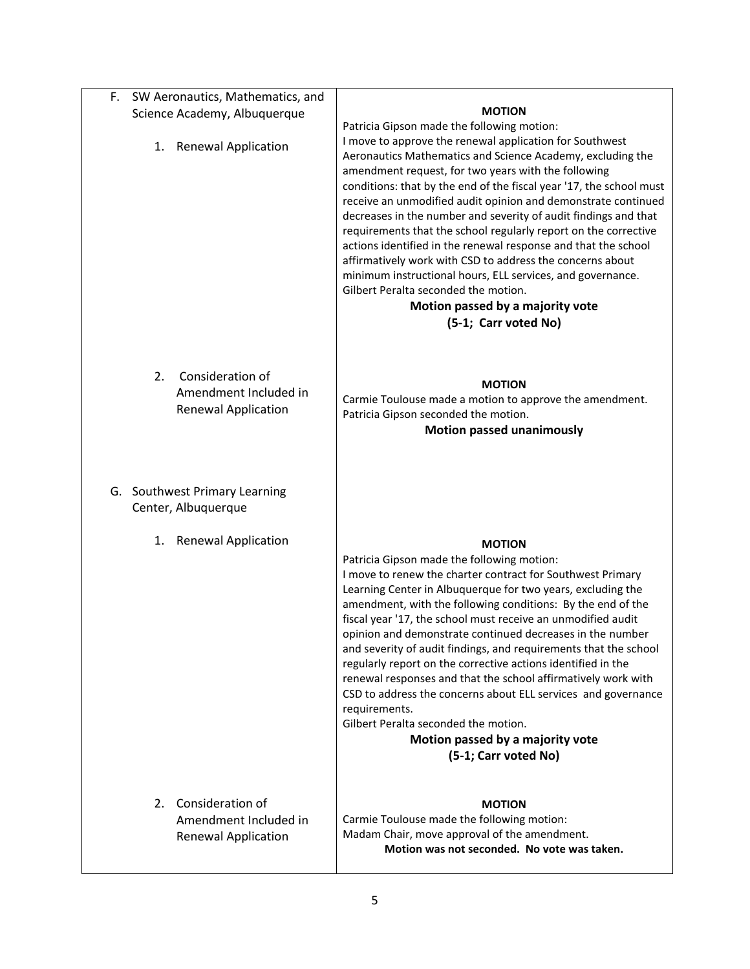| F. | SW Aeronautics, Mathematics, and                                              |                                                                                                                                                                                                                                                                                                                                                                                                                                                                                                                                                                                                                                                                                                                                                                                                           |
|----|-------------------------------------------------------------------------------|-----------------------------------------------------------------------------------------------------------------------------------------------------------------------------------------------------------------------------------------------------------------------------------------------------------------------------------------------------------------------------------------------------------------------------------------------------------------------------------------------------------------------------------------------------------------------------------------------------------------------------------------------------------------------------------------------------------------------------------------------------------------------------------------------------------|
|    | Science Academy, Albuquerque                                                  | <b>MOTION</b>                                                                                                                                                                                                                                                                                                                                                                                                                                                                                                                                                                                                                                                                                                                                                                                             |
|    | <b>Renewal Application</b><br>1.                                              | Patricia Gipson made the following motion:<br>I move to approve the renewal application for Southwest<br>Aeronautics Mathematics and Science Academy, excluding the<br>amendment request, for two years with the following<br>conditions: that by the end of the fiscal year '17, the school must<br>receive an unmodified audit opinion and demonstrate continued<br>decreases in the number and severity of audit findings and that<br>requirements that the school regularly report on the corrective<br>actions identified in the renewal response and that the school<br>affirmatively work with CSD to address the concerns about<br>minimum instructional hours, ELL services, and governance.<br>Gilbert Peralta seconded the motion.<br>Motion passed by a majority vote<br>(5-1; Carr voted No) |
|    | Consideration of<br>2.<br>Amendment Included in<br><b>Renewal Application</b> | <b>MOTION</b><br>Carmie Toulouse made a motion to approve the amendment.<br>Patricia Gipson seconded the motion.<br><b>Motion passed unanimously</b>                                                                                                                                                                                                                                                                                                                                                                                                                                                                                                                                                                                                                                                      |
|    | G. Southwest Primary Learning<br>Center, Albuquerque                          |                                                                                                                                                                                                                                                                                                                                                                                                                                                                                                                                                                                                                                                                                                                                                                                                           |
|    | 1. Renewal Application                                                        | <b>MOTION</b><br>Patricia Gipson made the following motion:<br>I move to renew the charter contract for Southwest Primary<br>Learning Center in Albuquerque for two years, excluding the<br>amendment, with the following conditions: By the end of the<br>fiscal year '17, the school must receive an unmodified audit<br>opinion and demonstrate continued decreases in the number<br>and severity of audit findings, and requirements that the school<br>regularly report on the corrective actions identified in the<br>renewal responses and that the school affirmatively work with<br>CSD to address the concerns about ELL services and governance<br>requirements.<br>Gilbert Peralta seconded the motion.<br>Motion passed by a majority vote<br>(5-1; Carr voted No)                           |
|    | 2. Consideration of<br>Amendment Included in<br><b>Renewal Application</b>    | <b>MOTION</b><br>Carmie Toulouse made the following motion:<br>Madam Chair, move approval of the amendment.<br>Motion was not seconded. No vote was taken.                                                                                                                                                                                                                                                                                                                                                                                                                                                                                                                                                                                                                                                |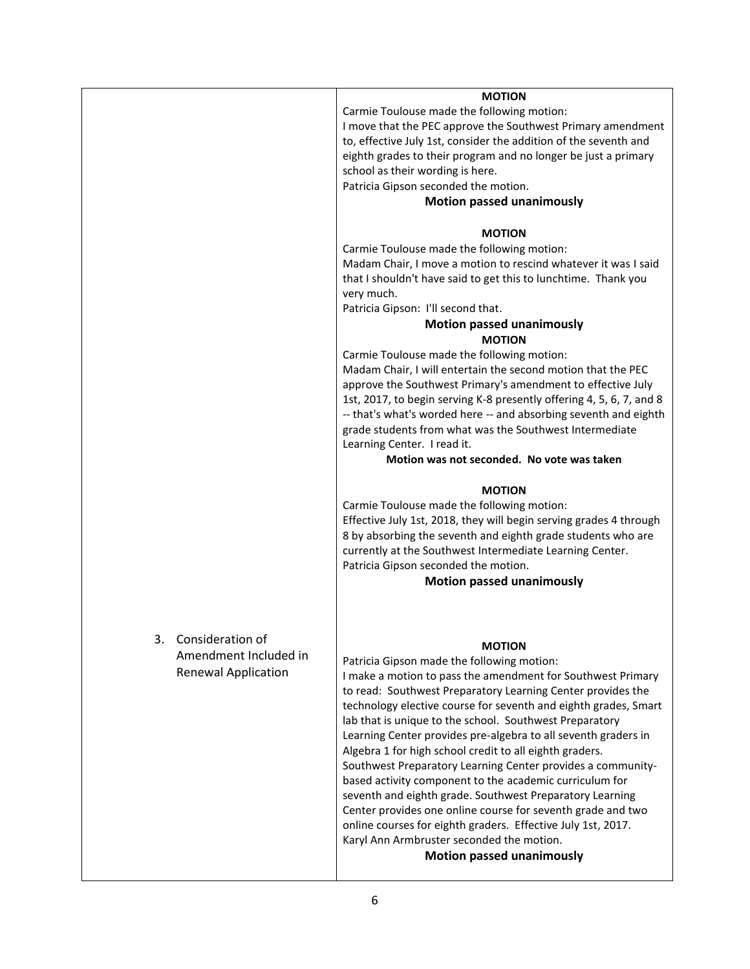|                                                                               | <b>MOTION</b><br>Carmie Toulouse made the following motion:<br>I move that the PEC approve the Southwest Primary amendment<br>to, effective July 1st, consider the addition of the seventh and<br>eighth grades to their program and no longer be just a primary<br>school as their wording is here.<br>Patricia Gipson seconded the motion.<br><b>Motion passed unanimously</b>                                                                                                                                                                                                                                                                                                                                                                                                                                                                           |
|-------------------------------------------------------------------------------|------------------------------------------------------------------------------------------------------------------------------------------------------------------------------------------------------------------------------------------------------------------------------------------------------------------------------------------------------------------------------------------------------------------------------------------------------------------------------------------------------------------------------------------------------------------------------------------------------------------------------------------------------------------------------------------------------------------------------------------------------------------------------------------------------------------------------------------------------------|
|                                                                               | <b>MOTION</b><br>Carmie Toulouse made the following motion:<br>Madam Chair, I move a motion to rescind whatever it was I said<br>that I shouldn't have said to get this to lunchtime. Thank you<br>very much.<br>Patricia Gipson: I'll second that.<br><b>Motion passed unanimously</b><br><b>MOTION</b><br>Carmie Toulouse made the following motion:<br>Madam Chair, I will entertain the second motion that the PEC<br>approve the Southwest Primary's amendment to effective July<br>1st, 2017, to begin serving K-8 presently offering 4, 5, 6, 7, and 8<br>-- that's what's worded here -- and absorbing seventh and eighth<br>grade students from what was the Southwest Intermediate<br>Learning Center. I read it.<br>Motion was not seconded. No vote was taken                                                                                  |
|                                                                               | <b>MOTION</b><br>Carmie Toulouse made the following motion:<br>Effective July 1st, 2018, they will begin serving grades 4 through<br>8 by absorbing the seventh and eighth grade students who are<br>currently at the Southwest Intermediate Learning Center.<br>Patricia Gipson seconded the motion.<br><b>Motion passed unanimously</b>                                                                                                                                                                                                                                                                                                                                                                                                                                                                                                                  |
| 3.<br>Consideration of<br>Amendment Included in<br><b>Renewal Application</b> | <b>MOTION</b><br>Patricia Gipson made the following motion:<br>I make a motion to pass the amendment for Southwest Primary<br>to read: Southwest Preparatory Learning Center provides the<br>technology elective course for seventh and eighth grades, Smart<br>lab that is unique to the school. Southwest Preparatory<br>Learning Center provides pre-algebra to all seventh graders in<br>Algebra 1 for high school credit to all eighth graders.<br>Southwest Preparatory Learning Center provides a community-<br>based activity component to the academic curriculum for<br>seventh and eighth grade. Southwest Preparatory Learning<br>Center provides one online course for seventh grade and two<br>online courses for eighth graders. Effective July 1st, 2017.<br>Karyl Ann Armbruster seconded the motion.<br><b>Motion passed unanimously</b> |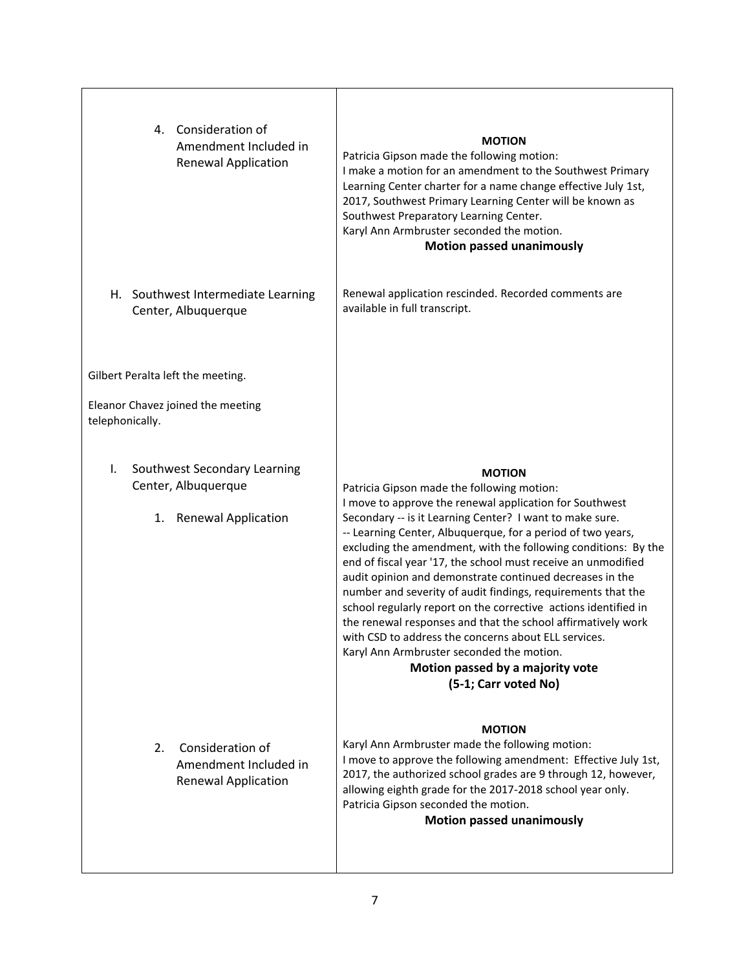| 4. Consideration of<br>Amendment Included in<br><b>Renewal Application</b>          | <b>MOTION</b><br>Patricia Gipson made the following motion:<br>I make a motion for an amendment to the Southwest Primary<br>Learning Center charter for a name change effective July 1st,<br>2017, Southwest Primary Learning Center will be known as<br>Southwest Preparatory Learning Center.<br>Karyl Ann Armbruster seconded the motion.<br><b>Motion passed unanimously</b>                                                                                                                                                                                                                                                                                                                                                                                                                                     |
|-------------------------------------------------------------------------------------|----------------------------------------------------------------------------------------------------------------------------------------------------------------------------------------------------------------------------------------------------------------------------------------------------------------------------------------------------------------------------------------------------------------------------------------------------------------------------------------------------------------------------------------------------------------------------------------------------------------------------------------------------------------------------------------------------------------------------------------------------------------------------------------------------------------------|
| H. Southwest Intermediate Learning<br>Center, Albuquerque                           | Renewal application rescinded. Recorded comments are<br>available in full transcript.                                                                                                                                                                                                                                                                                                                                                                                                                                                                                                                                                                                                                                                                                                                                |
| Gilbert Peralta left the meeting.                                                   |                                                                                                                                                                                                                                                                                                                                                                                                                                                                                                                                                                                                                                                                                                                                                                                                                      |
| Eleanor Chavez joined the meeting<br>telephonically.                                |                                                                                                                                                                                                                                                                                                                                                                                                                                                                                                                                                                                                                                                                                                                                                                                                                      |
| Southwest Secondary Learning<br>I.<br>Center, Albuquerque<br>1. Renewal Application | <b>MOTION</b><br>Patricia Gipson made the following motion:<br>I move to approve the renewal application for Southwest<br>Secondary -- is it Learning Center? I want to make sure.<br>-- Learning Center, Albuquerque, for a period of two years,<br>excluding the amendment, with the following conditions: By the<br>end of fiscal year '17, the school must receive an unmodified<br>audit opinion and demonstrate continued decreases in the<br>number and severity of audit findings, requirements that the<br>school regularly report on the corrective actions identified in<br>the renewal responses and that the school affirmatively work<br>with CSD to address the concerns about ELL services.<br>Karyl Ann Armbruster seconded the motion.<br>Motion passed by a majority vote<br>(5-1; Carr voted No) |
| 2.<br>Consideration of<br>Amendment Included in<br><b>Renewal Application</b>       | <b>MOTION</b><br>Karyl Ann Armbruster made the following motion:<br>I move to approve the following amendment: Effective July 1st,<br>2017, the authorized school grades are 9 through 12, however,<br>allowing eighth grade for the 2017-2018 school year only.<br>Patricia Gipson seconded the motion.<br><b>Motion passed unanimously</b>                                                                                                                                                                                                                                                                                                                                                                                                                                                                         |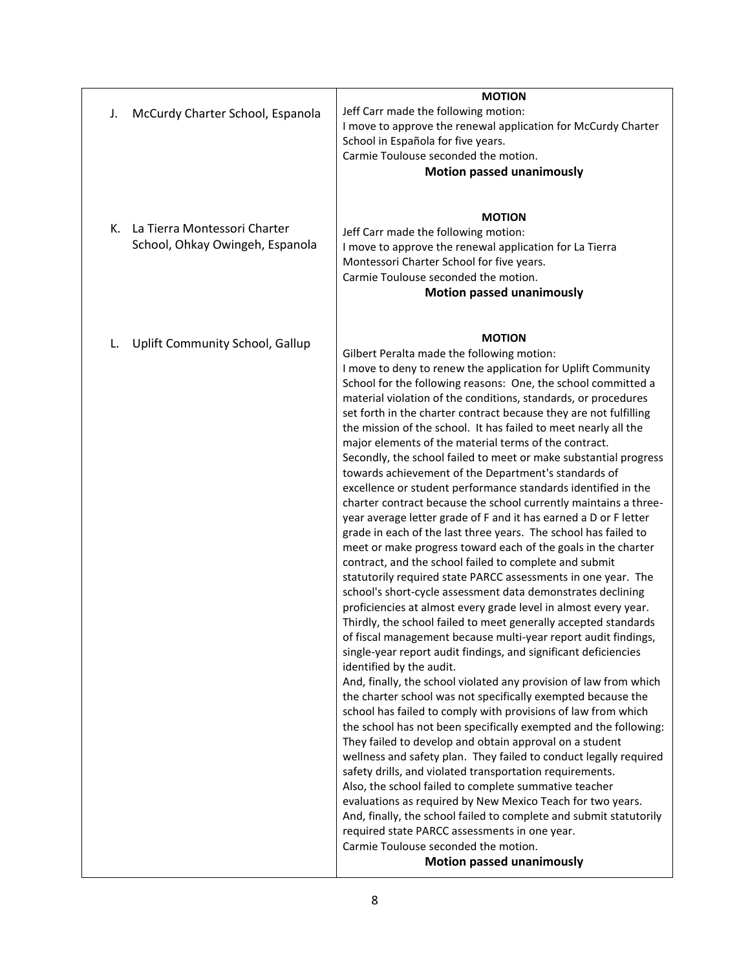| McCurdy Charter School, Espanola<br>J.                                | <b>MOTION</b><br>Jeff Carr made the following motion:<br>I move to approve the renewal application for McCurdy Charter<br>School in Española for five years.<br>Carmie Toulouse seconded the motion.<br><b>Motion passed unanimously</b>                                                                                                                                                                                                                                                                                                                                                                                                                                                                                                                                                                                                                                                                                                                                                                                                                                                                                                                                                                                                                                                                                                                                                                                                                                                                                                                                                                                                                                                                                                                                                                                                                                                                                                                                                                                                                                                                                                                                                                                                  |
|-----------------------------------------------------------------------|-------------------------------------------------------------------------------------------------------------------------------------------------------------------------------------------------------------------------------------------------------------------------------------------------------------------------------------------------------------------------------------------------------------------------------------------------------------------------------------------------------------------------------------------------------------------------------------------------------------------------------------------------------------------------------------------------------------------------------------------------------------------------------------------------------------------------------------------------------------------------------------------------------------------------------------------------------------------------------------------------------------------------------------------------------------------------------------------------------------------------------------------------------------------------------------------------------------------------------------------------------------------------------------------------------------------------------------------------------------------------------------------------------------------------------------------------------------------------------------------------------------------------------------------------------------------------------------------------------------------------------------------------------------------------------------------------------------------------------------------------------------------------------------------------------------------------------------------------------------------------------------------------------------------------------------------------------------------------------------------------------------------------------------------------------------------------------------------------------------------------------------------------------------------------------------------------------------------------------------------|
| La Tierra Montessori Charter<br>К.<br>School, Ohkay Owingeh, Espanola | <b>MOTION</b><br>Jeff Carr made the following motion:<br>I move to approve the renewal application for La Tierra<br>Montessori Charter School for five years.<br>Carmie Toulouse seconded the motion.<br><b>Motion passed unanimously</b>                                                                                                                                                                                                                                                                                                                                                                                                                                                                                                                                                                                                                                                                                                                                                                                                                                                                                                                                                                                                                                                                                                                                                                                                                                                                                                                                                                                                                                                                                                                                                                                                                                                                                                                                                                                                                                                                                                                                                                                                 |
| Uplift Community School, Gallup<br>L.                                 | <b>MOTION</b><br>Gilbert Peralta made the following motion:<br>I move to deny to renew the application for Uplift Community<br>School for the following reasons: One, the school committed a<br>material violation of the conditions, standards, or procedures<br>set forth in the charter contract because they are not fulfilling<br>the mission of the school. It has failed to meet nearly all the<br>major elements of the material terms of the contract.<br>Secondly, the school failed to meet or make substantial progress<br>towards achievement of the Department's standards of<br>excellence or student performance standards identified in the<br>charter contract because the school currently maintains a three-<br>year average letter grade of F and it has earned a D or F letter<br>grade in each of the last three years. The school has failed to<br>meet or make progress toward each of the goals in the charter<br>contract, and the school failed to complete and submit<br>statutorily required state PARCC assessments in one year. The<br>school's short-cycle assessment data demonstrates declining<br>proficiencies at almost every grade level in almost every year.<br>Thirdly, the school failed to meet generally accepted standards<br>of fiscal management because multi-year report audit findings,<br>single-year report audit findings, and significant deficiencies<br>identified by the audit.<br>And, finally, the school violated any provision of law from which<br>the charter school was not specifically exempted because the<br>school has failed to comply with provisions of law from which<br>the school has not been specifically exempted and the following:<br>They failed to develop and obtain approval on a student<br>wellness and safety plan. They failed to conduct legally required<br>safety drills, and violated transportation requirements.<br>Also, the school failed to complete summative teacher<br>evaluations as required by New Mexico Teach for two years.<br>And, finally, the school failed to complete and submit statutorily<br>required state PARCC assessments in one year.<br>Carmie Toulouse seconded the motion.<br><b>Motion passed unanimously</b> |